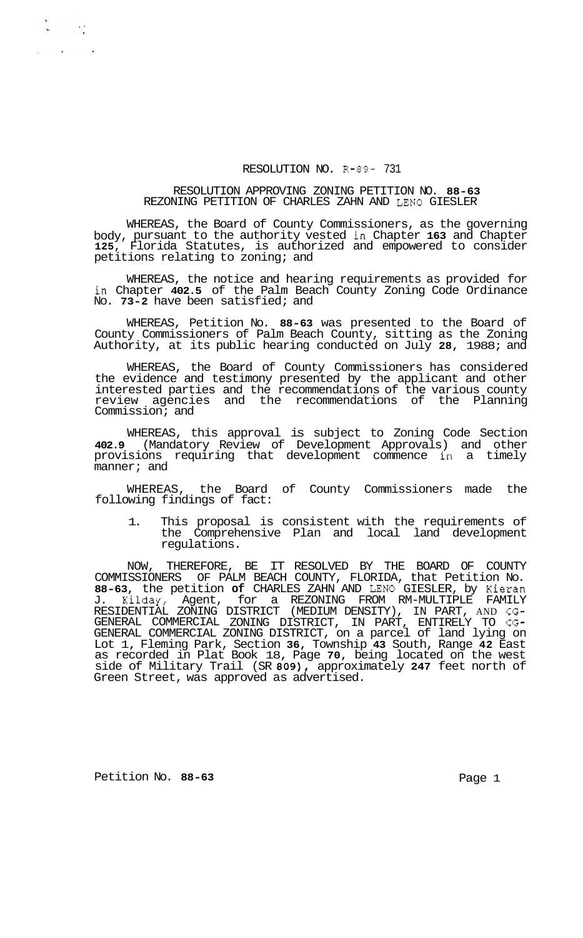## RESOLUTION NO. R-89- 731

## RESOLUTION APPROVING ZONING PETITION NO. **88-63**  REZONING PETITION OF CHARLES ZAHN AND LENO GIESLER

WHEREAS, the Board of County Commissioners, as the governing body, pursuant to the authority vested in Chapter **163** and Chapter **125,** Florida Statutes, is authorized and empowered to consider petitions relating to zoning; and

WHEREAS, the notice and hearing requirements as provided for in Chapter **402.5** of the Palm Beach County Zoning Code Ordinance No. **73-2** have been satisfied; and

WHEREAS, Petition No. **88-63** was presented to the Board of County Commissioners of Palm Beach County, sitting as the Zoning Authority, at its public hearing conducted on July **28,** 1988; and

WHEREAS, the Board of County Commissioners has considered the evidence and testimony presented by the applicant and other interested parties and the recommendations of the various county review agencies and the recommendations of the Planning Commission; and

WHEREAS, this approval is subject to Zoning Code Section **402.9** (Mandatory Review of Development Approvals) and other provisions requiring that development commence in a timely manner; and

WHEREAS, the Board of County Commissioners made the following findings of fact:

1. This proposal is consistent with the requirements of the Comprehensive Plan and local land development regulations.

NOW, THEREFORE, BE IT RESOLVED BY THE BOARD OF COUNTY COMMISSIONERS OF PALM BEACH COUNTY, FLORIDA, that Petition No. **88-63,** the petition **of** CHARLES ZAHN AND LENO GIESLER, by Kieran J. Kilday, Agent, for a REZONING FROM RM-MULTIPLE FAMILY GENERAL COMMERCIAL ZONING DISTRICT, on a parcel of land lying on Lot 1, Fleming Park, Section **36,** Township **43** South, Range **42** East as recorded in Plat Book 18, Page **70,** being located on the west side of Military Trail (SR **809),** approximately **247** feet north of Green Street, was approved as advertised. RESIDENTIAL ZONING DISTRICT (MEDIUM DENSITY), IN PART, AND CG-GENERAL COMMERCIAL ZONING DISTRICT, IN PART, ENTIRELY TO CG-

Petition No. 88-63 **Page 1 Page 1** 

 $\begin{array}{ccccc} \mathbf{S} & & & & \mathbf{S} \\ & & & & & \mathbf{S} \\ \mathbf{S} & & & & \mathbf{S} \\ \mathbf{S} & & & & \mathbf{S} \\ \end{array}$